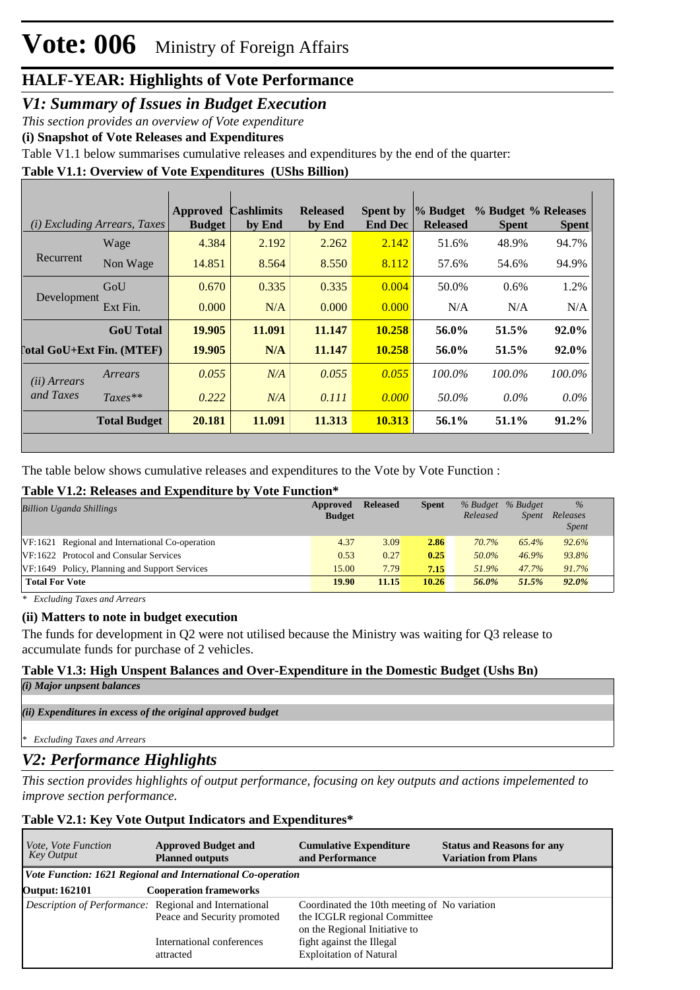### *V1: Summary of Issues in Budget Execution*

*This section provides an overview of Vote expenditure* 

**(i) Snapshot of Vote Releases and Expenditures**

Table V1.1 below summarises cumulative releases and expenditures by the end of the quarter:

### **Table V1.1: Overview of Vote Expenditures (UShs Billion)**

|                            | (i) Excluding Arrears, Taxes | <b>Approved</b><br><b>Budget</b> | <b>Cashlimits</b><br>by End | <b>Released</b><br>by End | <b>Spent by</b><br><b>End Dec</b> | % Budget<br><b>Released</b> | % Budget % Releases<br><b>Spent</b> | <b>Spent</b> |
|----------------------------|------------------------------|----------------------------------|-----------------------------|---------------------------|-----------------------------------|-----------------------------|-------------------------------------|--------------|
| Recurrent                  | Wage                         | 4.384                            | 2.192                       | 2.262                     | 2.142                             | 51.6%                       | 48.9%                               | 94.7%        |
|                            | Non Wage                     | 14.851                           | 8.564                       | 8.550                     | 8.112                             | 57.6%                       | 54.6%                               | 94.9%        |
| Development                | GoU                          | 0.670                            | 0.335                       | 0.335                     | 0.004                             | 50.0%                       | $0.6\%$                             | 1.2%         |
|                            | Ext Fin.                     | 0.000                            | N/A                         | 0.000                     | 0.000                             | N/A                         | N/A                                 | N/A          |
|                            | <b>GoU</b> Total             | 19.905                           | 11.091                      | 11.147                    | 10.258                            | 56.0%                       | 51.5%                               | 92.0%        |
| [`otal GoU+Ext Fin. (MTEF) |                              | 19.905                           | N/A                         | 11.147                    | 10.258                            | 56.0%                       | 51.5%                               | 92.0%        |
| (ii) Arrears               | Arrears                      | 0.055                            | N/A                         | 0.055                     | 0.055                             | 100.0%                      | 100.0%                              | 100.0%       |
| and Taxes                  | $Taxes**$                    | 0.222                            | N/A                         | 0.111                     | 0.000                             | 50.0%                       | $0.0\%$                             | $0.0\%$      |
|                            | <b>Total Budget</b>          | 20.181                           | 11.091                      | 11.313                    | 10.313                            | 56.1%                       | 51.1%                               | $91.2\%$     |

The table below shows cumulative releases and expenditures to the Vote by Vote Function :

### **Table V1.2: Releases and Expenditure by Vote Function\***

| <b>Billion Uganda Shillings</b>                 | Approved<br><b>Budget</b> | <b>Released</b> | <b>Spent</b> | % Budget % Budget<br>Released | <b>Spent</b> | $\%$<br>Releases<br><b>Spent</b> |
|-------------------------------------------------|---------------------------|-----------------|--------------|-------------------------------|--------------|----------------------------------|
| VF:1621 Regional and International Co-operation | 4.37                      | 3.09            | 2.86         | 70.7%                         | 65.4%        | 92.6%                            |
| VF:1622 Protocol and Consular Services          | 0.53                      | 0.27            | 0.25         | 50.0%                         | 46.9%        | 93.8%                            |
| VF:1649 Policy, Planning and Support Services   | 15.00                     | 7.79            | 7.15         | 51.9%                         | 47.7%        | 91.7%                            |
| <b>Total For Vote</b>                           | 19.90                     | 11.15           | 10.26        | 56.0%                         | 51.5%        | 92.0%                            |

*\* Excluding Taxes and Arrears*

### **(ii) Matters to note in budget execution**

The funds for development in Q2 were not utilised because the Ministry was waiting for Q3 release to accumulate funds for purchase of 2 vehicles.

### **Table V1.3: High Unspent Balances and Over-Expenditure in the Domestic Budget (Ushs Bn)**

```
(i) Major unpsent balances
```
*(ii) Expenditures in excess of the original approved budget*

*\* Excluding Taxes and Arrears*

### *V2: Performance Highlights*

*This section provides highlights of output performance, focusing on key outputs and actions impelemented to improve section performance.*

### **Table V2.1: Key Vote Output Indicators and Expenditures\***

| <i>Vote, Vote Function</i><br>Key Output               | <b>Approved Budget and</b><br><b>Planned outputs</b>        | <b>Cumulative Expenditure</b><br>and Performance                                                              | <b>Status and Reasons for any</b><br><b>Variation from Plans</b> |  |  |  |  |  |  |  |
|--------------------------------------------------------|-------------------------------------------------------------|---------------------------------------------------------------------------------------------------------------|------------------------------------------------------------------|--|--|--|--|--|--|--|
|                                                        | Vote Function: 1621 Regional and International Co-operation |                                                                                                               |                                                                  |  |  |  |  |  |  |  |
| <b>Output: 162101</b>                                  | <b>Cooperation frameworks</b>                               |                                                                                                               |                                                                  |  |  |  |  |  |  |  |
| Description of Performance: Regional and International | Peace and Security promoted                                 | Coordinated the 10th meeting of No variation<br>the ICGLR regional Committee<br>on the Regional Initiative to |                                                                  |  |  |  |  |  |  |  |
|                                                        | International conferences<br>attracted                      | fight against the Illegal<br><b>Exploitation of Natural</b>                                                   |                                                                  |  |  |  |  |  |  |  |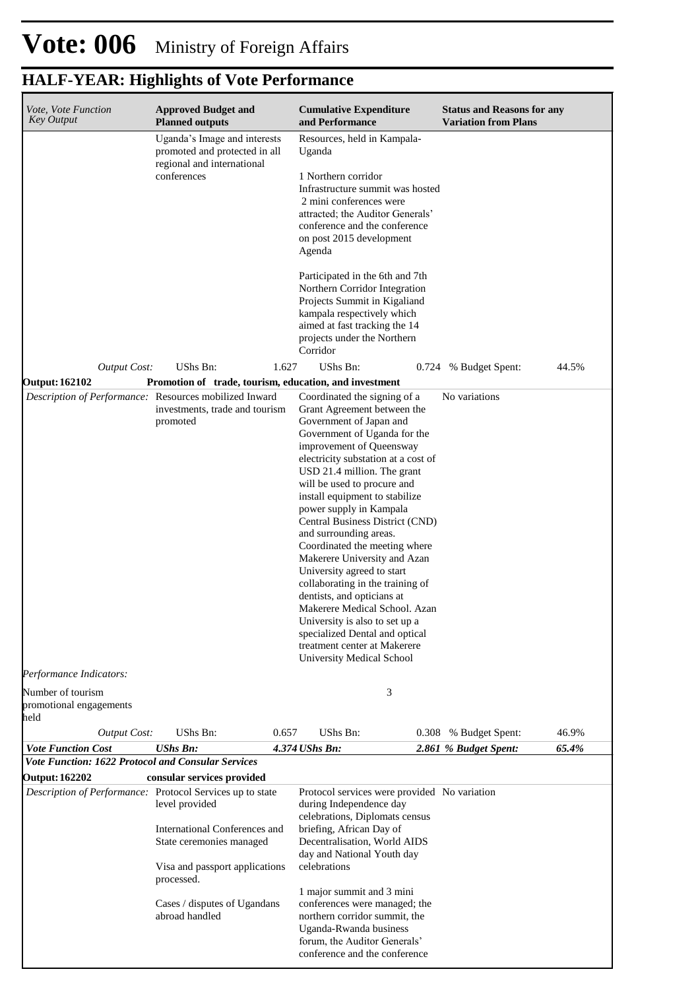#### **Cumulative Expenditure and Performance Approved Budget and Planned outputs Status and Reasons for any Variation from Plans** *Vote, Vote Function Key Output Vote Function Cost UShs Bn: 4.374 UShs Bn: 2.861 % Budget Spent: 65.4%* Uganda's Image and interests promoted and protected in all regional and international conferences Resources, held in Kampala-Uganda 1 Northern corridor Infrastructure summit was hosted 2 mini conferences were attracted; the Auditor Generals' conference and the conference on post 2015 development Agenda Participated in the 6th and 7th Northern Corridor Integration Projects Summit in Kigaliand kampala respectively which aimed at fast tracking the 14 projects under the Northern Corridor *Output Cost:* UShs Bn: 1.627 UShs Bn: 0.724 % Budget Spent: 44.5% **Output: 162102 Promotion of trade, tourism, education, and investment** *Description of Performance:* Resources mobilized Inward investments, trade and tourism promoted Coordinated the signing of a Grant Agreement between the Government of Japan and Government of Uganda for the improvement of Queensway electricity substation at a cost of USD 21.4 million. The grant will be used to procure and install equipment to stabilize power supply in Kampala Central Business District (CND) and surrounding areas. Coordinated the meeting where Makerere University and Azan University agreed to start collaborating in the training of dentists, and opticians at Makerere Medical School. Azan University is also to set up a specialized Dental and optical treatment center at Makerere University Medical School No variations *Output Cost:* UShs Bn: 0.657 UShs Bn: 0.308 % Budget Spent: 46.9% *Performance Indicators:* Number of tourism promotional engagements held 3 *Vote Function: 1622 Protocol and Consular Services* **Output: 162202 consular services provided** *Description of Performance:* Protocol Services up to state level provided International Conferences and State ceremonies managed Visa and passport applications processed. Cases / disputes of Ugandans abroad handled Protocol services were provided No variationduring Independence day celebrations, Diplomats census briefing, African Day of Decentralisation, World AIDS day and National Youth day celebrations 1 major summit and 3 mini conferences were managed; the northern corridor summit, the Uganda-Rwanda business forum, the Auditor Generals'

conference and the conference

### **HALF-YEAR: Highlights of Vote Performance**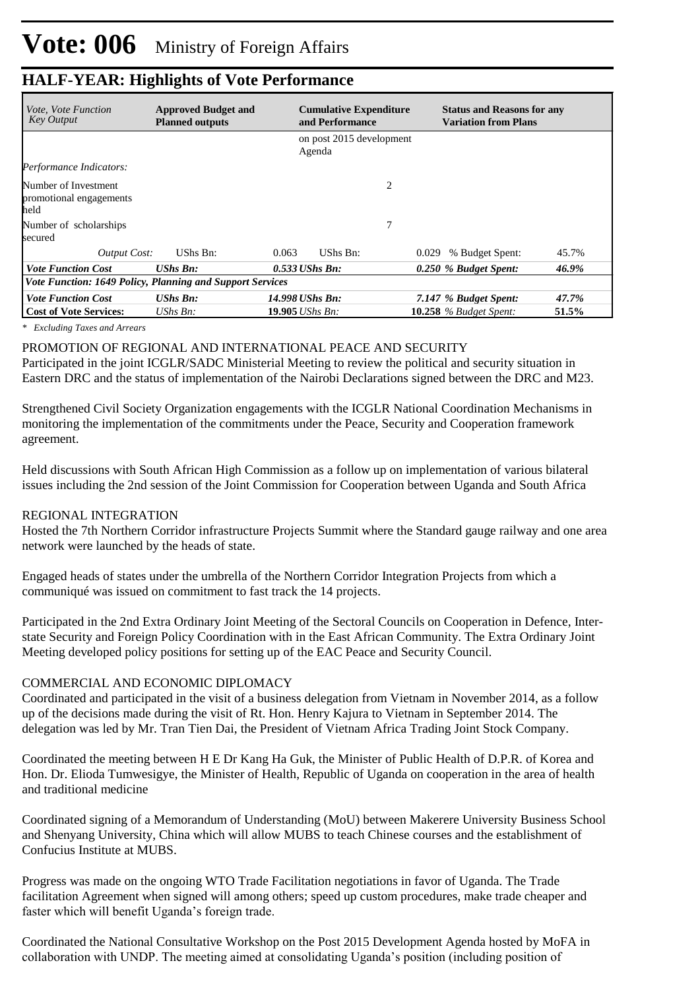| <i>Vote. Vote Function</i><br><b>Key Output</b>           | <b>Approved Budget and</b><br><b>Planned outputs</b> | <b>Cumulative Expenditure</b><br>and Performance |       | <b>Status and Reasons for any</b><br><b>Variation from Plans</b> |       |  |
|-----------------------------------------------------------|------------------------------------------------------|--------------------------------------------------|-------|------------------------------------------------------------------|-------|--|
|                                                           |                                                      | on post 2015 development<br>Agenda               |       |                                                                  |       |  |
| Performance Indicators:                                   |                                                      |                                                  |       |                                                                  |       |  |
| Number of Investment<br>promotional engagements<br>held   |                                                      |                                                  | 2     |                                                                  |       |  |
| Number of scholarships<br>secured                         |                                                      |                                                  | 7     |                                                                  |       |  |
| Output Cost:                                              | UShs Bn:                                             | UShs Bn:<br>0.063                                | 0.029 | % Budget Spent:                                                  | 45.7% |  |
| <b>Vote Function Cost</b>                                 | <b>UShs Bn:</b>                                      | $0.533$ UShs Bn:                                 |       | 0.250 % Budget Spent:                                            | 46.9% |  |
| Vote Function: 1649 Policy, Planning and Support Services |                                                      |                                                  |       |                                                                  |       |  |
| <b>Vote Function Cost</b>                                 | $UShs$ $Bn$ :                                        | 14.998 UShs Bn:                                  |       | 7.147 % Budget Spent:                                            | 47.7% |  |
| <b>Cost of Vote Services:</b>                             | UShs $Bn$ :                                          | <b>19.905</b> <i>UShs Bn:</i>                    |       | $10.258$ % Budget Spent:                                         | 51.5% |  |

*\* Excluding Taxes and Arrears*

PROMOTION OF REGIONAL AND INTERNATIONAL PEACE AND SECURITY

Participated in the joint ICGLR/SADC Ministerial Meeting to review the political and security situation in Eastern DRC and the status of implementation of the Nairobi Declarations signed between the DRC and M23.

Strengthened Civil Society Organization engagements with the ICGLR National Coordination Mechanisms in monitoring the implementation of the commitments under the Peace, Security and Cooperation framework agreement.

Held discussions with South African High Commission as a follow up on implementation of various bilateral issues including the 2nd session of the Joint Commission for Cooperation between Uganda and South Africa

#### REGIONAL INTEGRATION

Hosted the 7th Northern Corridor infrastructure Projects Summit where the Standard gauge railway and one area network were launched by the heads of state.

Engaged heads of states under the umbrella of the Northern Corridor Integration Projects from which a communiqué was issued on commitment to fast track the 14 projects.

Participated in the 2nd Extra Ordinary Joint Meeting of the Sectoral Councils on Cooperation in Defence, Interstate Security and Foreign Policy Coordination with in the East African Community. The Extra Ordinary Joint Meeting developed policy positions for setting up of the EAC Peace and Security Council.

#### COMMERCIAL AND ECONOMIC DIPLOMACY

Coordinated and participated in the visit of a business delegation from Vietnam in November 2014, as a follow up of the decisions made during the visit of Rt. Hon. Henry Kajura to Vietnam in September 2014. The delegation was led by Mr. Tran Tien Dai, the President of Vietnam Africa Trading Joint Stock Company.

Coordinated the meeting between H E Dr Kang Ha Guk, the Minister of Public Health of D.P.R. of Korea and Hon. Dr. Elioda Tumwesigye, the Minister of Health, Republic of Uganda on cooperation in the area of health and traditional medicine

Coordinated signing of a Memorandum of Understanding (MoU) between Makerere University Business School and Shenyang University, China which will allow MUBS to teach Chinese courses and the establishment of Confucius Institute at MUBS.

Progress was made on the ongoing WTO Trade Facilitation negotiations in favor of Uganda. The Trade facilitation Agreement when signed will among others; speed up custom procedures, make trade cheaper and faster which will benefit Uganda's foreign trade.

Coordinated the National Consultative Workshop on the Post 2015 Development Agenda hosted by MoFA in collaboration with UNDP. The meeting aimed at consolidating Uganda's position (including position of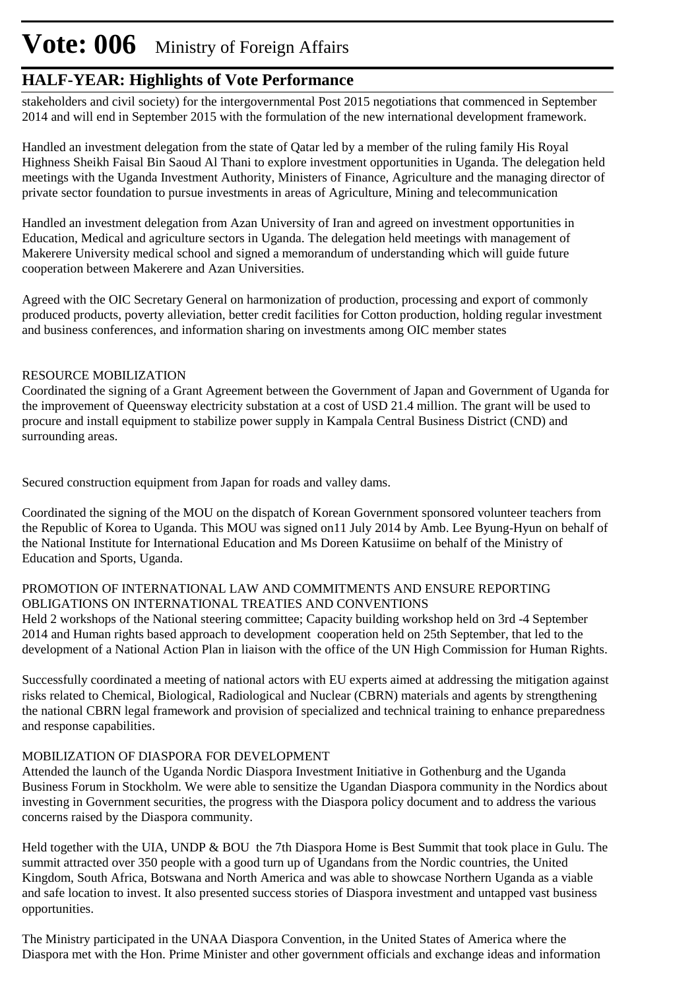# **Vote: 006** Ministry of Foreign Affairs

### **HALF-YEAR: Highlights of Vote Performance**

stakeholders and civil society) for the intergovernmental Post 2015 negotiations that commenced in September 2014 and will end in September 2015 with the formulation of the new international development framework.

Handled an investment delegation from the state of Qatar led by a member of the ruling family His Royal Highness Sheikh Faisal Bin Saoud Al Thani to explore investment opportunities in Uganda. The delegation held meetings with the Uganda Investment Authority, Ministers of Finance, Agriculture and the managing director of private sector foundation to pursue investments in areas of Agriculture, Mining and telecommunication

Handled an investment delegation from Azan University of Iran and agreed on investment opportunities in Education, Medical and agriculture sectors in Uganda. The delegation held meetings with management of Makerere University medical school and signed a memorandum of understanding which will guide future cooperation between Makerere and Azan Universities.

Agreed with the OIC Secretary General on harmonization of production, processing and export of commonly produced products, poverty alleviation, better credit facilities for Cotton production, holding regular investment and business conferences, and information sharing on investments among OIC member states

### RESOURCE MOBILIZATION

Coordinated the signing of a Grant Agreement between the Government of Japan and Government of Uganda for the improvement of Queensway electricity substation at a cost of USD 21.4 million. The grant will be used to procure and install equipment to stabilize power supply in Kampala Central Business District (CND) and surrounding areas.

Secured construction equipment from Japan for roads and valley dams.

Coordinated the signing of the MOU on the dispatch of Korean Government sponsored volunteer teachers from the Republic of Korea to Uganda. This MOU was signed on11 July 2014 by Amb. Lee Byung-Hyun on behalf of the National Institute for International Education and Ms Doreen Katusiime on behalf of the Ministry of Education and Sports, Uganda.

#### PROMOTION OF INTERNATIONAL LAW AND COMMITMENTS AND ENSURE REPORTING OBLIGATIONS ON INTERNATIONAL TREATIES AND CONVENTIONS

Held 2 workshops of the National steering committee; Capacity building workshop held on 3rd -4 September 2014 and Human rights based approach to development cooperation held on 25th September, that led to the development of a National Action Plan in liaison with the office of the UN High Commission for Human Rights.

Successfully coordinated a meeting of national actors with EU experts aimed at addressing the mitigation against risks related to Chemical, Biological, Radiological and Nuclear (CBRN) materials and agents by strengthening the national CBRN legal framework and provision of specialized and technical training to enhance preparedness and response capabilities.

### MOBILIZATION OF DIASPORA FOR DEVELOPMENT

Attended the launch of the Uganda Nordic Diaspora Investment Initiative in Gothenburg and the Uganda Business Forum in Stockholm. We were able to sensitize the Ugandan Diaspora community in the Nordics about investing in Government securities, the progress with the Diaspora policy document and to address the various concerns raised by the Diaspora community.

Held together with the UIA, UNDP & BOU the 7th Diaspora Home is Best Summit that took place in Gulu. The summit attracted over 350 people with a good turn up of Ugandans from the Nordic countries, the United Kingdom, South Africa, Botswana and North America and was able to showcase Northern Uganda as a viable and safe location to invest. It also presented success stories of Diaspora investment and untapped vast business opportunities.

The Ministry participated in the UNAA Diaspora Convention, in the United States of America where the Diaspora met with the Hon. Prime Minister and other government officials and exchange ideas and information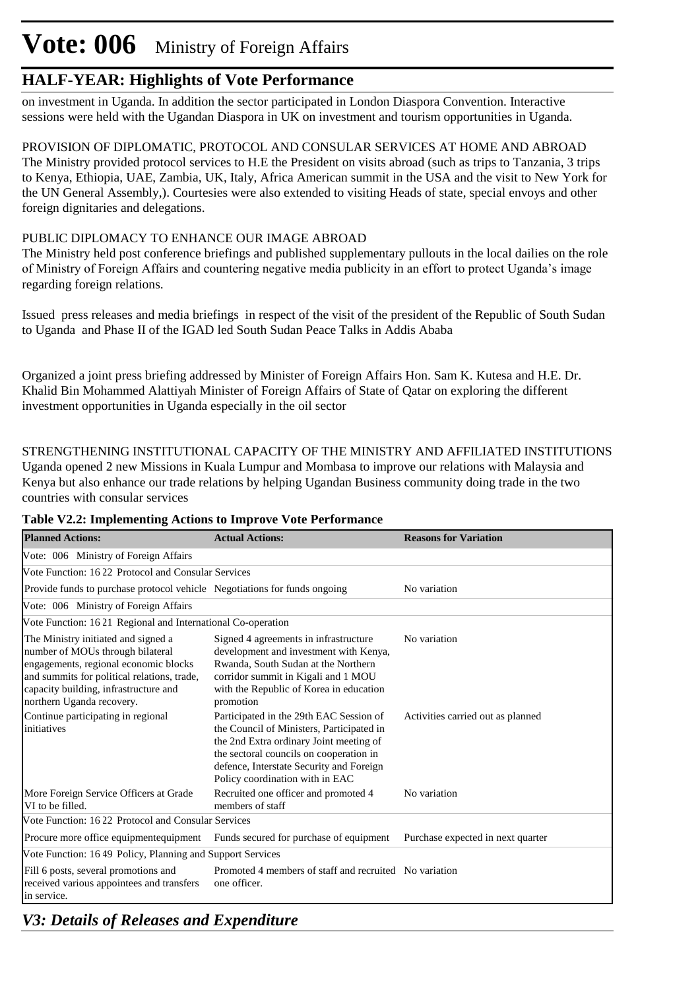# **Vote: 006** Ministry of Foreign Affairs

### **HALF-YEAR: Highlights of Vote Performance**

on investment in Uganda. In addition the sector participated in London Diaspora Convention. Interactive sessions were held with the Ugandan Diaspora in UK on investment and tourism opportunities in Uganda.

PROVISION OF DIPLOMATIC, PROTOCOL AND CONSULAR SERVICES AT HOME AND ABROAD The Ministry provided protocol services to H.E the President on visits abroad (such as trips to Tanzania, 3 trips to Kenya, Ethiopia, UAE, Zambia, UK, Italy, Africa American summit in the USA and the visit to New York for the UN General Assembly,). Courtesies were also extended to visiting Heads of state, special envoys and other foreign dignitaries and delegations.

### PUBLIC DIPLOMACY TO ENHANCE OUR IMAGE ABROAD

The Ministry held post conference briefings and published supplementary pullouts in the local dailies on the role of Ministry of Foreign Affairs and countering negative media publicity in an effort to protect Uganda's image regarding foreign relations.

Issued press releases and media briefings in respect of the visit of the president of the Republic of South Sudan to Uganda and Phase II of the IGAD led South Sudan Peace Talks in Addis Ababa

Organized a joint press briefing addressed by Minister of Foreign Affairs Hon. Sam K. Kutesa and H.E. Dr. Khalid Bin Mohammed Alattiyah Minister of Foreign Affairs of State of Qatar on exploring the different investment opportunities in Uganda especially in the oil sector

STRENGTHENING INSTITUTIONAL CAPACITY OF THE MINISTRY AND AFFILIATED INSTITUTIONS Uganda opened 2 new Missions in Kuala Lumpur and Mombasa to improve our relations with Malaysia and Kenya but also enhance our trade relations by helping Ugandan Business community doing trade in the two countries with consular services

| <b>Planned Actions:</b>                                                                                                                                                                                                               | <b>Actual Actions:</b>                                                                                                                                                                                                                                    | <b>Reasons for Variation</b>      |  |  |  |  |  |  |
|---------------------------------------------------------------------------------------------------------------------------------------------------------------------------------------------------------------------------------------|-----------------------------------------------------------------------------------------------------------------------------------------------------------------------------------------------------------------------------------------------------------|-----------------------------------|--|--|--|--|--|--|
| Vote: 006 Ministry of Foreign Affairs                                                                                                                                                                                                 |                                                                                                                                                                                                                                                           |                                   |  |  |  |  |  |  |
| Vote Function: 16 22 Protocol and Consular Services                                                                                                                                                                                   |                                                                                                                                                                                                                                                           |                                   |  |  |  |  |  |  |
| Provide funds to purchase protocol vehicle Negotiations for funds ongoing                                                                                                                                                             |                                                                                                                                                                                                                                                           | No variation                      |  |  |  |  |  |  |
| Vote: 006 Ministry of Foreign Affairs                                                                                                                                                                                                 |                                                                                                                                                                                                                                                           |                                   |  |  |  |  |  |  |
|                                                                                                                                                                                                                                       | Vote Function: 16 21 Regional and International Co-operation                                                                                                                                                                                              |                                   |  |  |  |  |  |  |
| The Ministry initiated and signed a<br>number of MOUs through bilateral<br>engagements, regional economic blocks<br>and summits for political relations, trade,<br>capacity building, infrastructure and<br>northern Uganda recovery. | Signed 4 agreements in infrastructure<br>development and investment with Kenya,<br>Rwanda, South Sudan at the Northern<br>corridor summit in Kigali and 1 MOU<br>with the Republic of Korea in education<br>promotion                                     | No variation                      |  |  |  |  |  |  |
| Continue participating in regional<br>initiatives                                                                                                                                                                                     | Participated in the 29th EAC Session of<br>the Council of Ministers, Participated in<br>the 2nd Extra ordinary Joint meeting of<br>the sectoral councils on cooperation in<br>defence, Interstate Security and Foreign<br>Policy coordination with in EAC | Activities carried out as planned |  |  |  |  |  |  |
| More Foreign Service Officers at Grade<br>VI to be filled.                                                                                                                                                                            | Recruited one officer and promoted 4<br>members of staff                                                                                                                                                                                                  | No variation                      |  |  |  |  |  |  |
| Vote Function: 1622 Protocol and Consular Services                                                                                                                                                                                    |                                                                                                                                                                                                                                                           |                                   |  |  |  |  |  |  |
| Procure more office equipmentequipment                                                                                                                                                                                                | Funds secured for purchase of equipment                                                                                                                                                                                                                   | Purchase expected in next quarter |  |  |  |  |  |  |
| Vote Function: 1649 Policy, Planning and Support Services                                                                                                                                                                             |                                                                                                                                                                                                                                                           |                                   |  |  |  |  |  |  |
| Fill 6 posts, several promotions and<br>received various appointees and transfers<br>in service.                                                                                                                                      | Promoted 4 members of staff and recruited No variation<br>one officer.                                                                                                                                                                                    |                                   |  |  |  |  |  |  |

**Table V2.2: Implementing Actions to Improve Vote Performance**

*V3: Details of Releases and Expenditure*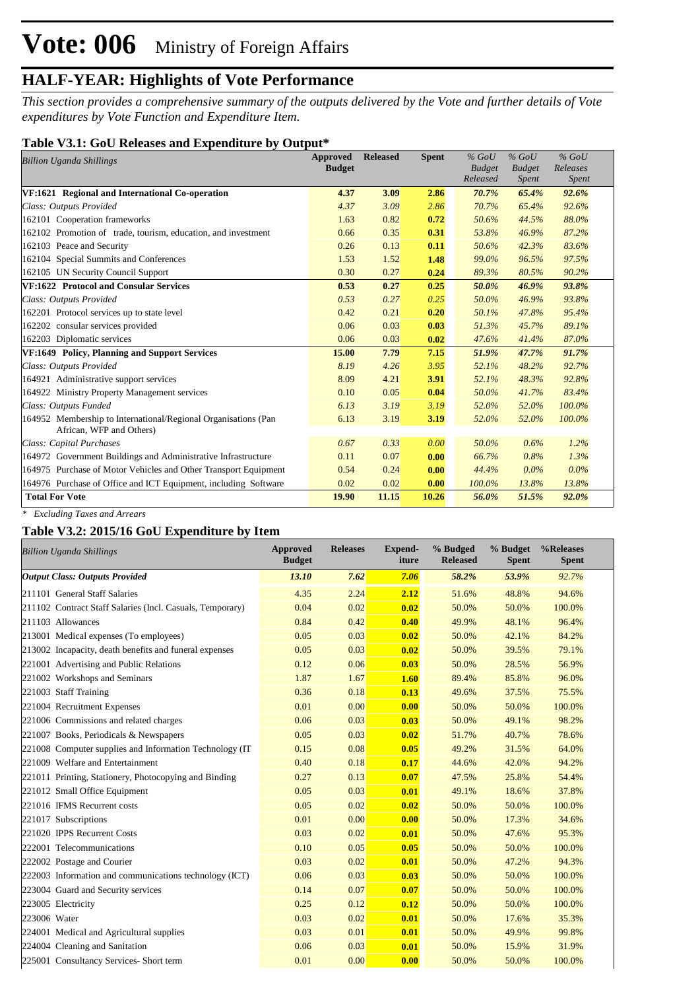*This section provides a comprehensive summary of the outputs delivered by the Vote and further details of Vote expenditures by Vote Function and Expenditure Item.*

#### **Table V3.1: GoU Releases and Expenditure by Output\***

| <b>Billion Uganda Shillings</b>                                                            | Approved      | <b>Released</b> | <b>Spent</b> | $%$ GoU       | $%$ GoU       | $%$ GoU      |  |
|--------------------------------------------------------------------------------------------|---------------|-----------------|--------------|---------------|---------------|--------------|--|
|                                                                                            | <b>Budget</b> |                 |              | <b>Budget</b> | <b>Budget</b> | Releases     |  |
|                                                                                            |               |                 |              | Released      | <i>Spent</i>  | <b>Spent</b> |  |
| VF:1621 Regional and International Co-operation                                            | 4.37          | 3.09            | 2.86         | 70.7%         | 65.4%         | 92.6%        |  |
| Class: Outputs Provided                                                                    | 4.37          | 3.09            | 2.86         | 70.7%         | 65.4%         | 92.6%        |  |
| 162101 Cooperation frameworks                                                              | 1.63          | 0.82            | 0.72         | 50.6%         | 44.5%         | 88.0%        |  |
| 162102 Promotion of trade, tourism, education, and investment                              | 0.66          | 0.35            | 0.31         | 53.8%         | 46.9%         | 87.2%        |  |
| 162103 Peace and Security                                                                  | 0.26          | 0.13            | 0.11         | 50.6%         | 42.3%         | 83.6%        |  |
| 162104 Special Summits and Conferences                                                     | 1.53          | 1.52            | 1.48         | 99.0%         | 96.5%         | 97.5%        |  |
| 162105 UN Security Council Support                                                         | 0.30          | 0.27            | 0.24         | 89.3%         | 80.5%         | 90.2%        |  |
| VF:1622 Protocol and Consular Services                                                     | 0.53          | 0.27            | 0.25         | 50.0%         | 46.9%         | 93.8%        |  |
| Class: Outputs Provided                                                                    | 0.53          | 0.27            | 0.25         | 50.0%         | 46.9%         | 93.8%        |  |
| 162201 Protocol services up to state level                                                 | 0.42          | 0.21            | 0.20         | 50.1%         | 47.8%         | 95.4%        |  |
| 162202 consular services provided                                                          | 0.06          | 0.03            | 0.03         | 51.3%         | 45.7%         | 89.1%        |  |
| 162203 Diplomatic services                                                                 | 0.06          | 0.03            | 0.02         | 47.6%         | 41.4%         | 87.0%        |  |
| VF:1649 Policy, Planning and Support Services                                              | 15.00         | 7.79            | 7.15         | 51.9%         | 47.7%         | 91.7%        |  |
| Class: Outputs Provided                                                                    | 8.19          | 4.26            | 3.95         | 52.1%         | 48.2%         | 92.7%        |  |
| 164921 Administrative support services                                                     | 8.09          | 4.21            | 3.91         | 52.1%         | 48.3%         | 92.8%        |  |
| 164922 Ministry Property Management services                                               | 0.10          | 0.05            | 0.04         | 50.0%         | 41.7%         | 83.4%        |  |
| Class: Outputs Funded                                                                      | 6.13          | 3.19            | 3.19         | 52.0%         | 52.0%         | 100.0%       |  |
| 164952 Membership to International/Regional Organisations (Pan<br>African, WFP and Others) | 6.13          | 3.19            | 3.19         | 52.0%         | 52.0%         | 100.0%       |  |
| Class: Capital Purchases                                                                   | 0.67          | 0.33            | 0.00         | 50.0%         | 0.6%          | 1.2%         |  |
| 164972 Government Buildings and Administrative Infrastructure                              | 0.11          | 0.07            | 0.00         | 66.7%         | 0.8%          | 1.3%         |  |
| 164975 Purchase of Motor Vehicles and Other Transport Equipment                            | 0.54          | 0.24            | 0.00         | 44.4%         | $0.0\%$       | $0.0\%$      |  |
| 164976 Purchase of Office and ICT Equipment, including Software                            | 0.02          | 0.02            | 0.00         | 100.0%        | 13.8%         | 13.8%        |  |
| <b>Total For Vote</b>                                                                      | 19.90         | 11.15           | 10.26        | 56.0%         | 51.5%         | 92.0%        |  |

*\* Excluding Taxes and Arrears*

### **Table V3.2: 2015/16 GoU Expenditure by Item**

| <b>Billion Uganda Shillings</b>                           | <b>Approved</b><br><b>Budget</b> | <b>Releases</b> | <b>Expend-</b><br>iture | % Budged<br><b>Released</b> | % Budget<br><b>Spent</b> | %Releases<br><b>Spent</b> |
|-----------------------------------------------------------|----------------------------------|-----------------|-------------------------|-----------------------------|--------------------------|---------------------------|
| <b>Output Class: Outputs Provided</b>                     | 13.10                            | 7.62            | 7.06                    | 58.2%                       | 53.9%                    | 92.7%                     |
| 211101 General Staff Salaries                             | 4.35                             | 2.24            | 2.12                    | 51.6%                       | 48.8%                    | 94.6%                     |
| 211102 Contract Staff Salaries (Incl. Casuals, Temporary) | 0.04                             | 0.02            | 0.02                    | 50.0%                       | 50.0%                    | 100.0%                    |
| 211103 Allowances                                         | 0.84                             | 0.42            | 0.40                    | 49.9%                       | 48.1%                    | 96.4%                     |
| 213001 Medical expenses (To employees)                    | 0.05                             | 0.03            | 0.02                    | 50.0%                       | 42.1%                    | 84.2%                     |
| 213002 Incapacity, death benefits and funeral expenses    | 0.05                             | 0.03            | 0.02                    | 50.0%                       | 39.5%                    | 79.1%                     |
| 221001 Advertising and Public Relations                   | 0.12                             | 0.06            | 0.03                    | 50.0%                       | 28.5%                    | 56.9%                     |
| 221002 Workshops and Seminars                             | 1.87                             | 1.67            | 1.60                    | 89.4%                       | 85.8%                    | 96.0%                     |
| 221003 Staff Training                                     | 0.36                             | 0.18            | 0.13                    | 49.6%                       | 37.5%                    | 75.5%                     |
| 221004 Recruitment Expenses                               | 0.01                             | 0.00            | 0.00                    | 50.0%                       | 50.0%                    | 100.0%                    |
| 221006 Commissions and related charges                    | 0.06                             | 0.03            | 0.03                    | 50.0%                       | 49.1%                    | 98.2%                     |
| 221007 Books, Periodicals & Newspapers                    | 0.05                             | 0.03            | 0.02                    | 51.7%                       | 40.7%                    | 78.6%                     |
| 221008 Computer supplies and Information Technology (IT)  | 0.15                             | 0.08            | 0.05                    | 49.2%                       | 31.5%                    | 64.0%                     |
| 221009 Welfare and Entertainment                          | 0.40                             | 0.18            | 0.17                    | 44.6%                       | 42.0%                    | 94.2%                     |
| 221011 Printing, Stationery, Photocopying and Binding     | 0.27                             | 0.13            | 0.07                    | 47.5%                       | 25.8%                    | 54.4%                     |
| 221012 Small Office Equipment                             | 0.05                             | 0.03            | 0.01                    | 49.1%                       | 18.6%                    | 37.8%                     |
| 221016 IFMS Recurrent costs                               | 0.05                             | 0.02            | 0.02                    | 50.0%                       | 50.0%                    | 100.0%                    |
| 221017 Subscriptions                                      | 0.01                             | 0.00            | 0.00                    | 50.0%                       | 17.3%                    | 34.6%                     |
| 221020 IPPS Recurrent Costs                               | 0.03                             | 0.02            | 0.01                    | 50.0%                       | 47.6%                    | 95.3%                     |
| 222001 Telecommunications                                 | 0.10                             | 0.05            | 0.05                    | 50.0%                       | 50.0%                    | 100.0%                    |
| 222002 Postage and Courier                                | 0.03                             | 0.02            | 0.01                    | 50.0%                       | 47.2%                    | 94.3%                     |
| 222003 Information and communications technology (ICT)    | 0.06                             | 0.03            | 0.03                    | 50.0%                       | 50.0%                    | 100.0%                    |
| 223004 Guard and Security services                        | 0.14                             | 0.07            | 0.07                    | 50.0%                       | 50.0%                    | 100.0%                    |
| 223005 Electricity                                        | 0.25                             | 0.12            | 0.12                    | 50.0%                       | 50.0%                    | 100.0%                    |
| 223006 Water                                              | 0.03                             | 0.02            | 0.01                    | 50.0%                       | 17.6%                    | 35.3%                     |
| 224001 Medical and Agricultural supplies                  | 0.03                             | 0.01            | 0.01                    | 50.0%                       | 49.9%                    | 99.8%                     |
| 224004 Cleaning and Sanitation                            | 0.06                             | 0.03            | 0.01                    | 50.0%                       | 15.9%                    | 31.9%                     |
| 225001 Consultancy Services- Short term                   | 0.01                             | 0.00            | 0.00                    | 50.0%                       | 50.0%                    | 100.0%                    |